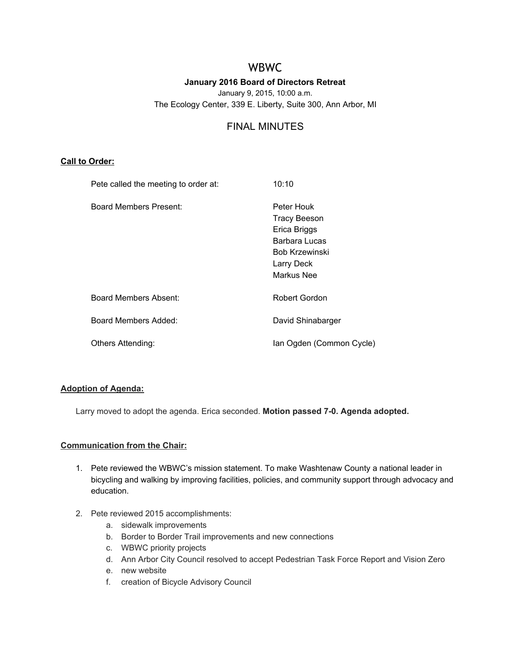# WBWC

# **January 2016 Board of Directors Retreat** January 9, 2015, 10:00 a.m. The Ecology Center, 339 E. Liberty, Suite 300, Ann Arbor, MI

# FINAL MINUTES

## **Call to Order:**

| Pete called the meeting to order at: | 10:10                                                                                                                   |
|--------------------------------------|-------------------------------------------------------------------------------------------------------------------------|
| Board Members Present:               | Peter Houk<br><b>Tracy Beeson</b><br>Erica Briggs<br>Barbara Lucas<br><b>Bob Krzewinski</b><br>Larry Deck<br>Markus Nee |
| <b>Board Members Absent:</b>         | Robert Gordon                                                                                                           |
| Board Members Added:                 | David Shinabarger                                                                                                       |
| Others Attending:                    | Ian Ogden (Common Cycle)                                                                                                |

# **Adoption of Agenda:**

Larry moved to adopt the agenda. Erica seconded. **Motion passed 70. Agenda adopted.**

## **Communication from the Chair:**

- 1. Pete reviewed the WBWC's mission statement. To make Washtenaw County a national leader in bicycling and walking by improving facilities, policies, and community support through advocacy and education.
- 2. Pete reviewed 2015 accomplishments:
	- a. sidewalk improvements
	- b. Border to Border Trail improvements and new connections
	- c. WBWC priority projects
	- d. Ann Arbor City Council resolved to accept Pedestrian Task Force Report and Vision Zero
	- e. new website
	- f. creation of Bicycle Advisory Council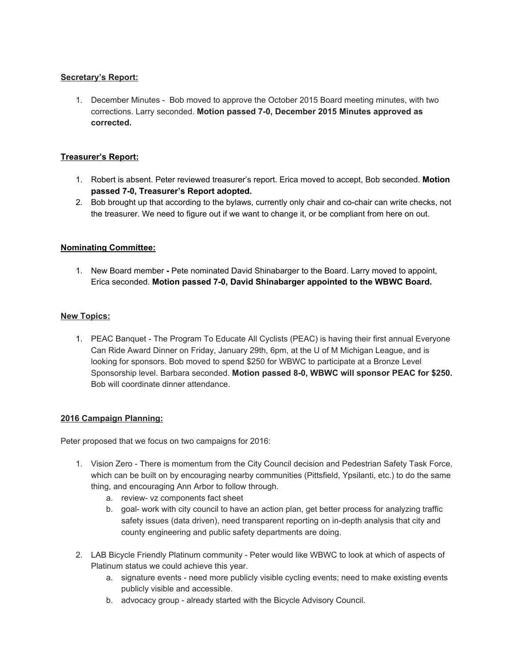# **Secretary's Report:**

1. December Minutes - Bob moved to approve the October 2015 Board meeting minutes, with two corrections. Larry seconded. **Motion passed 70, December 2015 Minutes approved as corrected.**

# **Treasurer's Report:**

- 1. Robert is absent. Peter reviewed treasurer's report. Erica moved to accept, Bob seconded. **Motion passed 70, Treasurer's Report adopted.**
- 2. Bob brought up that according to the bylaws, currently only chair and co-chair can write checks, not the treasurer. We need to figure out if we want to change it, or be compliant from here on out.

# **Nominating Committee:**

1. New Board member Pete nominated David Shinabarger to the Board. Larry moved to appoint, Erica seconded. **Motion passed 70, David Shinabarger appointed to the WBWC Board.**

## **New Topics:**

1. PEAC Banquet - The Program To Educate All Cyclists (PEAC) is having their first annual Everyone Can Ride Award Dinner on Friday, January 29th, 6pm, at the U of M Michigan League, and is looking for sponsors. Bob moved to spend \$250 for WBWC to participate at a Bronze Level Sponsorship level. Barbara seconded. **Motion passed 80, WBWC will sponsor PEAC for \$250.** Bob will coordinate dinner attendance.

## **2016 Campaign Planning:**

Peter proposed that we focus on two campaigns for 2016:

- 1. Vision Zero There is momentum from the City Council decision and Pedestrian Safety Task Force, which can be built on by encouraging nearby communities (Pittsfield, Ypsilanti, etc.) to do the same thing, and encouraging Ann Arbor to follow through.
	- a. review- vz components fact sheet
	- b. goal- work with city council to have an action plan, get better process for analyzing traffic safety issues (data driven), need transparent reporting on in-depth analysis that city and county engineering and public safety departments are doing.
- 2. LAB Bicycle Friendly Platinum community Peter would like WBWC to look at which of aspects of Platinum status we could achieve this year.
	- a. signature events need more publicly visible cycling events; need to make existing events publicly visible and accessible.
	- b. advocacy group already started with the Bicycle Advisory Council.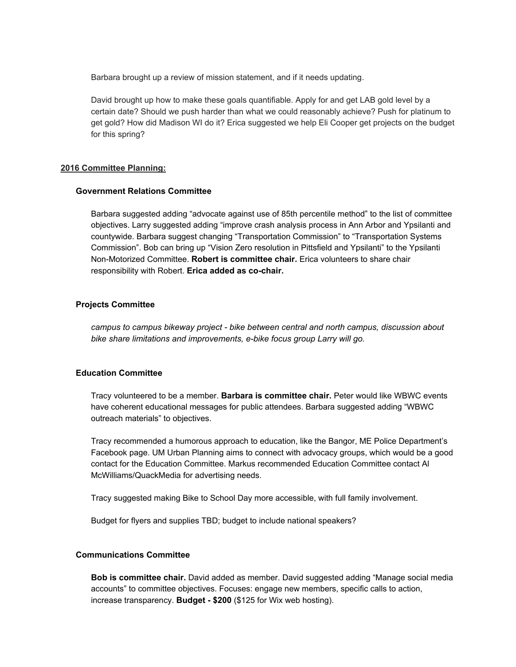Barbara brought up a review of mission statement, and if it needs updating.

David brought up how to make these goals quantifiable. Apply for and get LAB gold level by a certain date? Should we push harder than what we could reasonably achieve? Push for platinum to get gold? How did Madison WI do it? Erica suggested we help Eli Cooper get projects on the budget for this spring?

### **2016 Committee Planning:**

### **Government Relations Committee**

Barbara suggested adding "advocate against use of 85th percentile method" to the list of committee objectives. Larry suggested adding "improve crash analysis process in Ann Arbor and Ypsilanti and countywide. Barbara suggest changing "Transportation Commission" to "Transportation Systems Commission". Bob can bring up "Vision Zero resolution in Pittsfield and Ypsilanti" to the Ypsilanti Non-Motorized Committee. Robert is committee chair. Erica volunteers to share chair responsibility with Robert. **Erica added as cochair.**

## **Projects Committee**

*campus to campus bikeway project bike between central and north campus, discussion about bike share limitations and improvements, ebike focus group Larry will go.*

# **Education Committee**

Tracy volunteered to be a member. **Barbara is committee chair.** Peter would like WBWC events have coherent educational messages for public attendees. Barbara suggested adding "WBWC outreach materials" to objectives.

Tracy recommended a humorous approach to education, like the Bangor, ME Police Department's Facebook page. UM Urban Planning aims to connect with advocacy groups, which would be a good contact for the Education Committee. Markus recommended Education Committee contact Al McWilliams/QuackMedia for advertising needs.

Tracy suggested making Bike to School Day more accessible, with full family involvement.

Budget for flyers and supplies TBD; budget to include national speakers?

## **Communications Committee**

**Bob is committee chair.** David added as member. David suggested adding "Manage social media accounts" to committee objectives. Focuses: engage new members, specific calls to action, increase transparency. **Budget \$200** (\$125 for Wix web hosting).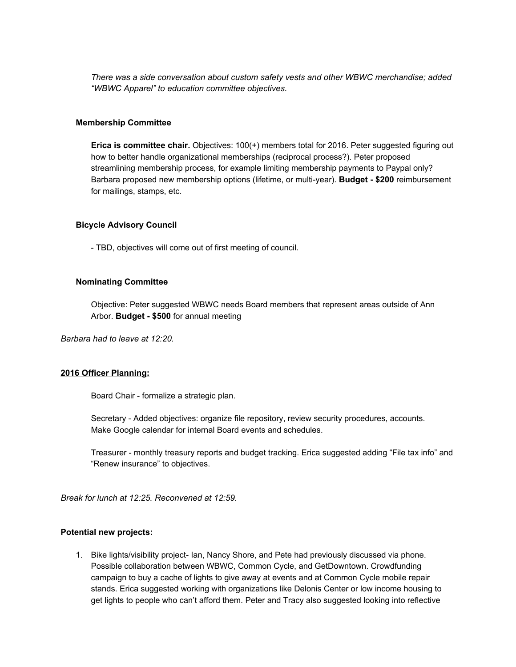*There was a side conversation about custom safety vests and other WBWC merchandise; added "WBWC Apparel" to education committee objectives.*

## **Membership Committee**

**Erica is committee chair.** Objectives: 100(+) members total for 2016. Peter suggested figuring out how to better handle organizational memberships (reciprocal process?). Peter proposed streamlining membership process, for example limiting membership payments to Paypal only? Barbara proposed new membership options (lifetime, or multi-year). **Budget - \$200** reimbursement for mailings, stamps, etc.

#### **Bicycle Advisory Council**

TBD, objectives will come out of first meeting of council.

#### **Nominating Committee**

Objective: Peter suggested WBWC needs Board members that represent areas outside of Ann Arbor. **Budget \$500** for annual meeting

*Barbara had to leave at 12:20.*

## **2016 Officer Planning:**

Board Chair - formalize a strategic plan.

Secretary - Added objectives: organize file repository, review security procedures, accounts. Make Google calendar for internal Board events and schedules.

Treasurer monthly treasury reports and budget tracking. Erica suggested adding "File tax info" and "Renew insurance" to objectives.

*Break for lunch at 12:25. Reconvened at 12:59.*

#### **Potential new projects:**

1. Bike lights/visibility project- Ian, Nancy Shore, and Pete had previously discussed via phone. Possible collaboration between WBWC, Common Cycle, and GetDowntown. Crowdfunding campaign to buy a cache of lights to give away at events and at Common Cycle mobile repair stands. Erica suggested working with organizations like Delonis Center or low income housing to get lights to people who can't afford them. Peter and Tracy also suggested looking into reflective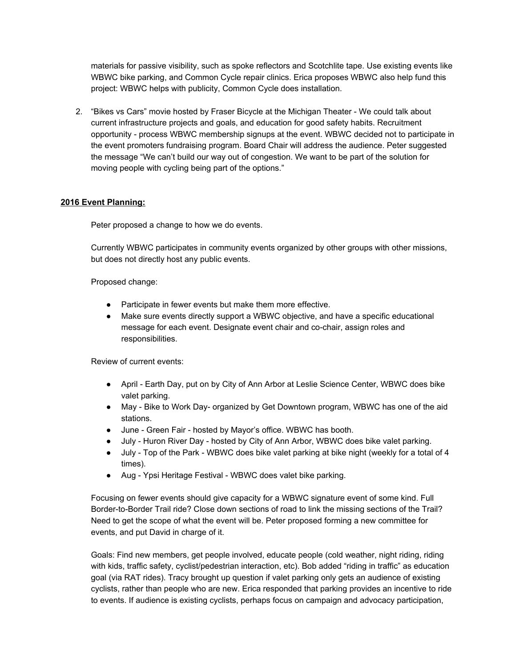materials for passive visibility, such as spoke reflectors and Scotchlite tape. Use existing events like WBWC bike parking, and Common Cycle repair clinics. Erica proposes WBWC also help fund this project: WBWC helps with publicity, Common Cycle does installation.

2. "Bikes vs Cars" movie hosted by Fraser Bicycle at the Michigan Theater We could talk about current infrastructure projects and goals, and education for good safety habits. Recruitment opportunity process WBWC membership signups at the event. WBWC decided not to participate in the event promoters fundraising program. Board Chair will address the audience. Peter suggested the message "We can't build our way out of congestion. We want to be part of the solution for moving people with cycling being part of the options."

## **2016 Event Planning:**

Peter proposed a change to how we do events.

Currently WBWC participates in community events organized by other groups with other missions, but does not directly host any public events.

Proposed change:

- Participate in fewer events but make them more effective.
- Make sure events directly support a WBWC objective, and have a specific educational message for each event. Designate event chair and co-chair, assign roles and responsibilities.

Review of current events:

- April Earth Day, put on by City of Ann Arbor at Leslie Science Center, WBWC does bike valet parking.
- May Bike to Work Day- organized by Get Downtown program, WBWC has one of the aid stations.
- June Green Fair hosted by Mayor's office. WBWC has booth.
- July Huron River Day hosted by City of Ann Arbor, WBWC does bike valet parking.
- July Top of the Park WBWC does bike valet parking at bike night (weekly for a total of 4 times).
- Aug Ypsi Heritage Festival WBWC does valet bike parking.

Focusing on fewer events should give capacity for a WBWC signature event of some kind. Full Border-to-Border Trail ride? Close down sections of road to link the missing sections of the Trail? Need to get the scope of what the event will be. Peter proposed forming a new committee for events, and put David in charge of it.

Goals: Find new members, get people involved, educate people (cold weather, night riding, riding with kids, traffic safety, cyclist/pedestrian interaction, etc). Bob added "riding in traffic" as education goal (via RAT rides). Tracy brought up question if valet parking only gets an audience of existing cyclists, rather than people who are new. Erica responded that parking provides an incentive to ride to events. If audience is existing cyclists, perhaps focus on campaign and advocacy participation,